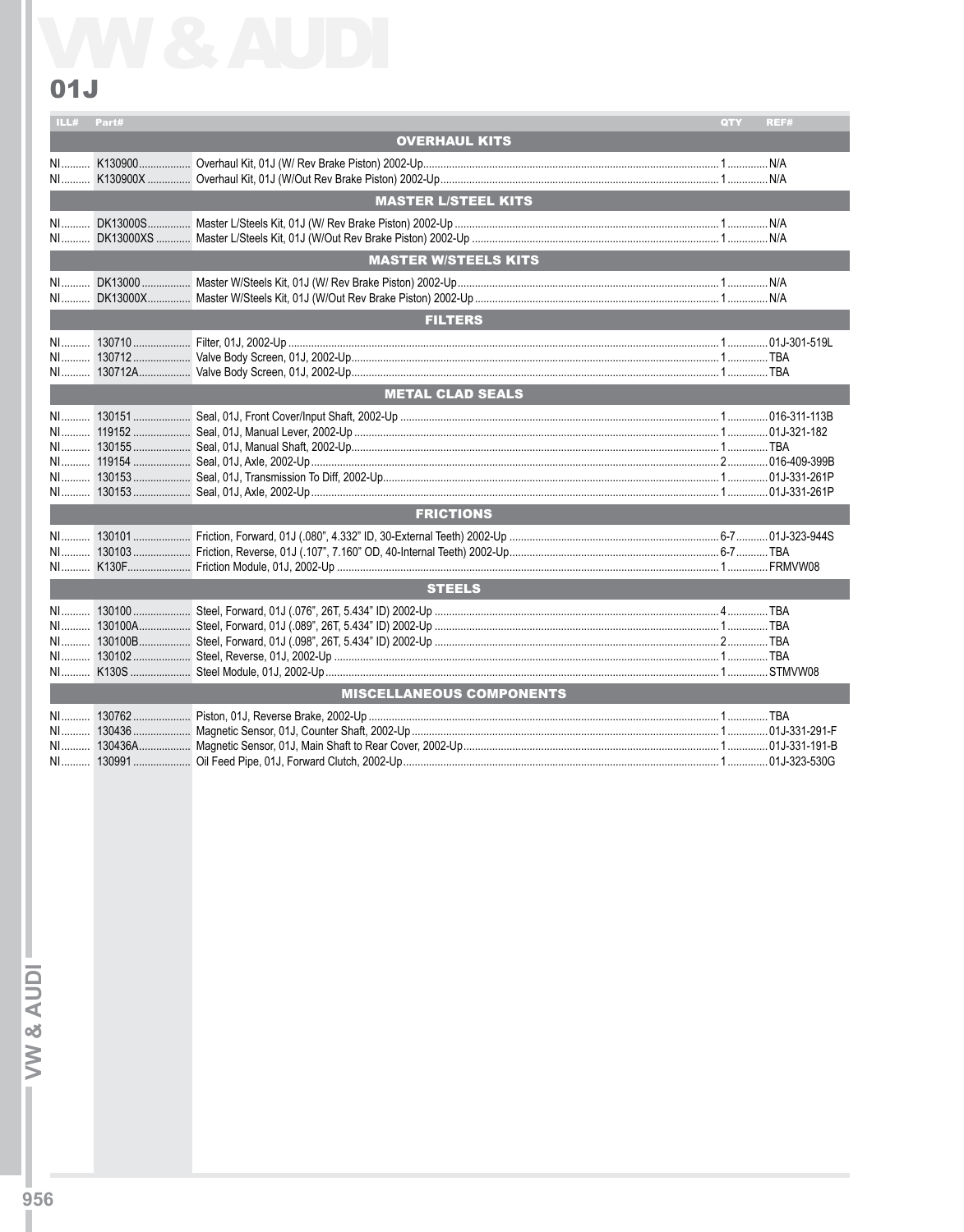## $01J$

| ILL# Part#                 |  |                                 | <b>QTY</b> | REF#         |  |
|----------------------------|--|---------------------------------|------------|--------------|--|
|                            |  | <b>OVERHAUL KITS</b>            |            |              |  |
| $N1$                       |  |                                 |            |              |  |
| <b>MASTER L/STEEL KITS</b> |  |                                 |            |              |  |
| NI<br>$NI$ <sub></sub>     |  |                                 |            |              |  |
|                            |  | <b>MASTER W/STEELS KITS</b>     |            |              |  |
|                            |  |                                 |            |              |  |
|                            |  | <b>FILTERS</b>                  |            |              |  |
|                            |  |                                 |            |              |  |
|                            |  | <b>METAL CLAD SEALS</b>         |            |              |  |
|                            |  |                                 |            |              |  |
|                            |  | <b>FRICTIONS</b>                |            |              |  |
|                            |  |                                 |            |              |  |
| <b>STEELS</b>              |  |                                 |            |              |  |
|                            |  |                                 |            |              |  |
|                            |  | <b>MISCELLANEOUS COMPONENTS</b> |            |              |  |
| $N1$<br>NI                 |  |                                 |            | 01J-323-530G |  |

 $-W$ & AUDI $-T$